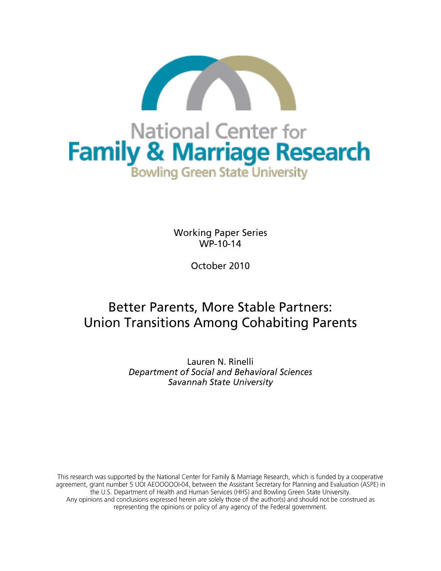

**Working Paper Series** WP-10-14

October 2010

# **Better Parents, More Stable Partners: Union Transitions Among Cohabiting Parents**

Lauren N. Rinelli Department of Social and Behavioral Sciences Savannah State University

This research was supported by the National Center for Family & Marriage Research, which is funded by a cooperative agreement, grant number 5 UOI AEOOOOOI-04, between the Assistant Secretary for Planning and Evaluation (ASPE) in the U.S. Department of Health and Human Services (HHS) and Bowling Green State University. Any opinions and conclusions expressed herein are solely those of the author(s) and should not be construed as representing the opinions or policy of any agency of the Federal government.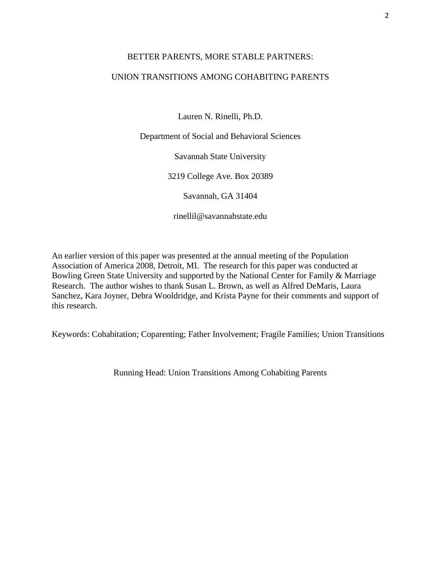## BETTER PARENTS, MORE STABLE PARTNERS:

## UNION TRANSITIONS AMONG COHABITING PARENTS

Lauren N. Rinelli, Ph.D.

Department of Social and Behavioral Sciences

Savannah State University

3219 College Ave. Box 20389

Savannah, GA 31404

rinellil@savannahstate.edu

An earlier version of this paper was presented at the annual meeting of the Population Association of America 2008, Detroit, MI. The research for this paper was conducted at Bowling Green State University and supported by the National Center for Family & Marriage Research. The author wishes to thank Susan L. Brown, as well as Alfred DeMaris, Laura Sanchez, Kara Joyner, Debra Wooldridge, and Krista Payne for their comments and support of this research.

Keywords: Cohabitation; Coparenting; Father Involvement; Fragile Families; Union Transitions

Running Head: Union Transitions Among Cohabiting Parents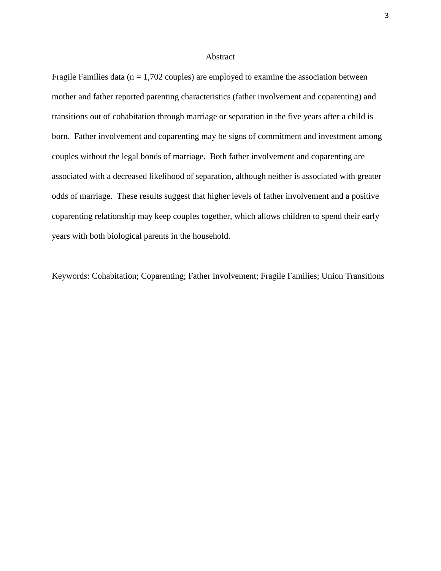### Abstract

Fragile Families data ( $n = 1,702$  couples) are employed to examine the association between mother and father reported parenting characteristics (father involvement and coparenting) and transitions out of cohabitation through marriage or separation in the five years after a child is born. Father involvement and coparenting may be signs of commitment and investment among couples without the legal bonds of marriage. Both father involvement and coparenting are associated with a decreased likelihood of separation, although neither is associated with greater odds of marriage. These results suggest that higher levels of father involvement and a positive coparenting relationship may keep couples together, which allows children to spend their early years with both biological parents in the household.

Keywords: Cohabitation; Coparenting; Father Involvement; Fragile Families; Union Transitions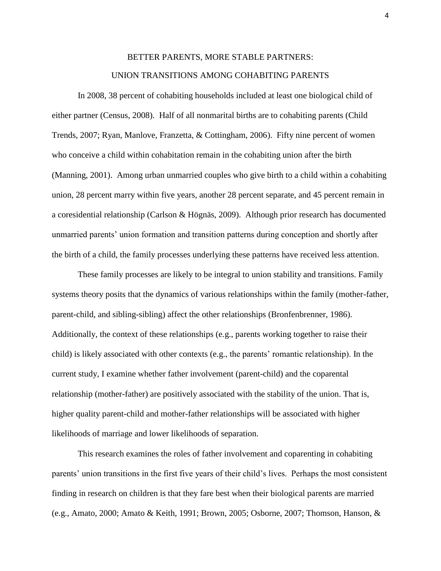## BETTER PARENTS, MORE STABLE PARTNERS:

## UNION TRANSITIONS AMONG COHABITING PARENTS

In 2008, 38 percent of cohabiting households included at least one biological child of either partner (Census, 2008). Half of all nonmarital births are to cohabiting parents (Child Trends, 2007; Ryan, Manlove, Franzetta, & Cottingham, 2006). Fifty nine percent of women who conceive a child within cohabitation remain in the cohabiting union after the birth (Manning, 2001). Among urban unmarried couples who give birth to a child within a cohabiting union, 28 percent marry within five years, another 28 percent separate, and 45 percent remain in a coresidential relationship (Carlson & Högnäs, 2009). Although prior research has documented unmarried parents' union formation and transition patterns during conception and shortly after the birth of a child, the family processes underlying these patterns have received less attention.

These family processes are likely to be integral to union stability and transitions. Family systems theory posits that the dynamics of various relationships within the family (mother-father, parent-child, and sibling-sibling) affect the other relationships (Bronfenbrenner, 1986). Additionally, the context of these relationships (e.g., parents working together to raise their child) is likely associated with other contexts (e.g., the parents" romantic relationship). In the current study, I examine whether father involvement (parent-child) and the coparental relationship (mother-father) are positively associated with the stability of the union. That is, higher quality parent-child and mother-father relationships will be associated with higher likelihoods of marriage and lower likelihoods of separation.

This research examines the roles of father involvement and coparenting in cohabiting parents" union transitions in the first five years of their child"s lives. Perhaps the most consistent finding in research on children is that they fare best when their biological parents are married (e.g., Amato, 2000; Amato & Keith, 1991; Brown, 2005; Osborne, 2007; Thomson, Hanson, &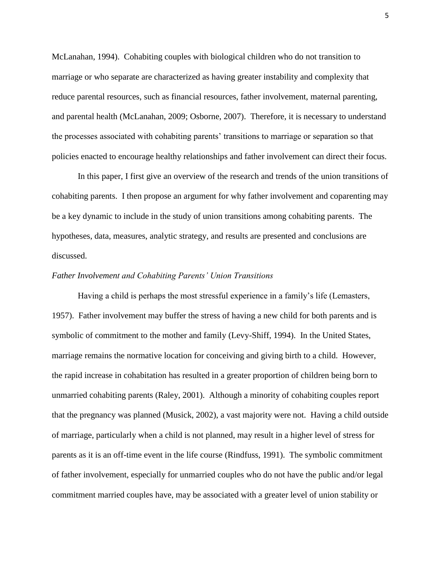McLanahan, 1994). Cohabiting couples with biological children who do not transition to marriage or who separate are characterized as having greater instability and complexity that reduce parental resources, such as financial resources, father involvement, maternal parenting, and parental health (McLanahan, 2009; Osborne, 2007). Therefore, it is necessary to understand the processes associated with cohabiting parents" transitions to marriage or separation so that policies enacted to encourage healthy relationships and father involvement can direct their focus.

In this paper, I first give an overview of the research and trends of the union transitions of cohabiting parents. I then propose an argument for why father involvement and coparenting may be a key dynamic to include in the study of union transitions among cohabiting parents. The hypotheses, data, measures, analytic strategy, and results are presented and conclusions are discussed.

#### *Father Involvement and Cohabiting Parents' Union Transitions*

Having a child is perhaps the most stressful experience in a family"s life (Lemasters, 1957). Father involvement may buffer the stress of having a new child for both parents and is symbolic of commitment to the mother and family (Levy-Shiff, 1994). In the United States, marriage remains the normative location for conceiving and giving birth to a child. However, the rapid increase in cohabitation has resulted in a greater proportion of children being born to unmarried cohabiting parents (Raley, 2001). Although a minority of cohabiting couples report that the pregnancy was planned (Musick, 2002), a vast majority were not. Having a child outside of marriage, particularly when a child is not planned, may result in a higher level of stress for parents as it is an off-time event in the life course (Rindfuss, 1991). The symbolic commitment of father involvement, especially for unmarried couples who do not have the public and/or legal commitment married couples have, may be associated with a greater level of union stability or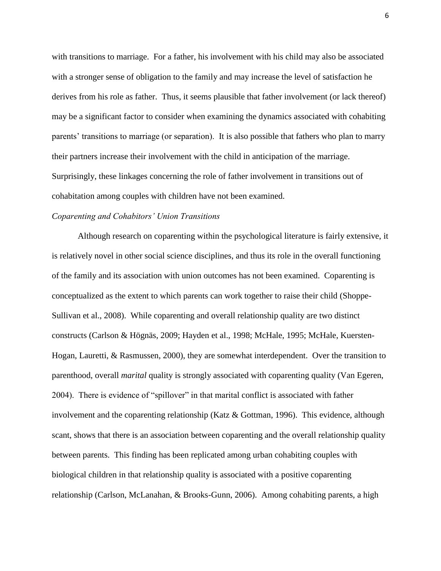with transitions to marriage. For a father, his involvement with his child may also be associated with a stronger sense of obligation to the family and may increase the level of satisfaction he derives from his role as father. Thus, it seems plausible that father involvement (or lack thereof) may be a significant factor to consider when examining the dynamics associated with cohabiting parents" transitions to marriage (or separation). It is also possible that fathers who plan to marry their partners increase their involvement with the child in anticipation of the marriage. Surprisingly, these linkages concerning the role of father involvement in transitions out of cohabitation among couples with children have not been examined.

#### *Coparenting and Cohabitors' Union Transitions*

Although research on coparenting within the psychological literature is fairly extensive, it is relatively novel in other social science disciplines, and thus its role in the overall functioning of the family and its association with union outcomes has not been examined. Coparenting is conceptualized as the extent to which parents can work together to raise their child (Shoppe-Sullivan et al., 2008). While coparenting and overall relationship quality are two distinct constructs (Carlson & Högnäs, 2009; Hayden et al., 1998; McHale, 1995; McHale, Kuersten-Hogan, Lauretti, & Rasmussen, 2000), they are somewhat interdependent. Over the transition to parenthood, overall *marital* quality is strongly associated with coparenting quality (Van Egeren, 2004). There is evidence of "spillover" in that marital conflict is associated with father involvement and the coparenting relationship (Katz & Gottman, 1996). This evidence, although scant, shows that there is an association between coparenting and the overall relationship quality between parents. This finding has been replicated among urban cohabiting couples with biological children in that relationship quality is associated with a positive coparenting relationship (Carlson, McLanahan, & Brooks-Gunn, 2006). Among cohabiting parents, a high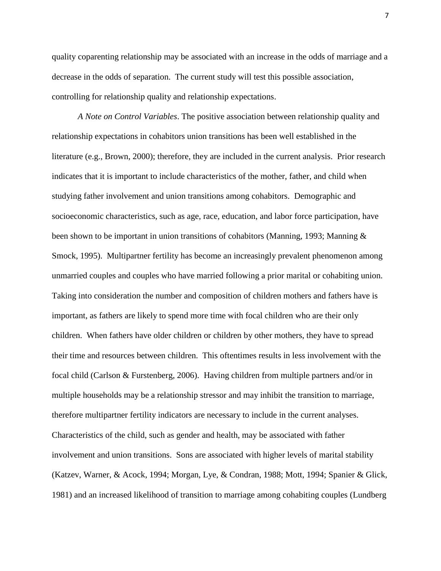quality coparenting relationship may be associated with an increase in the odds of marriage and a decrease in the odds of separation. The current study will test this possible association, controlling for relationship quality and relationship expectations.

*A Note on Control Variables*. The positive association between relationship quality and relationship expectations in cohabitors union transitions has been well established in the literature (e.g., Brown, 2000); therefore, they are included in the current analysis. Prior research indicates that it is important to include characteristics of the mother, father, and child when studying father involvement and union transitions among cohabitors. Demographic and socioeconomic characteristics, such as age, race, education, and labor force participation, have been shown to be important in union transitions of cohabitors (Manning, 1993; Manning & Smock, 1995). Multipartner fertility has become an increasingly prevalent phenomenon among unmarried couples and couples who have married following a prior marital or cohabiting union. Taking into consideration the number and composition of children mothers and fathers have is important, as fathers are likely to spend more time with focal children who are their only children. When fathers have older children or children by other mothers, they have to spread their time and resources between children. This oftentimes results in less involvement with the focal child (Carlson & Furstenberg, 2006). Having children from multiple partners and/or in multiple households may be a relationship stressor and may inhibit the transition to marriage, therefore multipartner fertility indicators are necessary to include in the current analyses. Characteristics of the child, such as gender and health, may be associated with father involvement and union transitions. Sons are associated with higher levels of marital stability (Katzev, Warner, & Acock, 1994; Morgan, Lye, & Condran, 1988; Mott, 1994; Spanier & Glick, 1981) and an increased likelihood of transition to marriage among cohabiting couples (Lundberg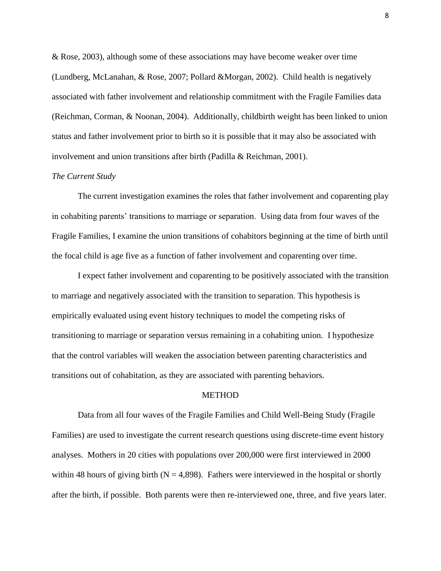& Rose, 2003), although some of these associations may have become weaker over time (Lundberg, McLanahan, & Rose, 2007; Pollard &Morgan, 2002). Child health is negatively associated with father involvement and relationship commitment with the Fragile Families data (Reichman, Corman, & Noonan, 2004). Additionally, childbirth weight has been linked to union status and father involvement prior to birth so it is possible that it may also be associated with involvement and union transitions after birth (Padilla & Reichman, 2001).

#### *The Current Study*

The current investigation examines the roles that father involvement and coparenting play in cohabiting parents" transitions to marriage or separation. Using data from four waves of the Fragile Families, I examine the union transitions of cohabitors beginning at the time of birth until the focal child is age five as a function of father involvement and coparenting over time.

I expect father involvement and coparenting to be positively associated with the transition to marriage and negatively associated with the transition to separation. This hypothesis is empirically evaluated using event history techniques to model the competing risks of transitioning to marriage or separation versus remaining in a cohabiting union. I hypothesize that the control variables will weaken the association between parenting characteristics and transitions out of cohabitation, as they are associated with parenting behaviors.

#### METHOD

Data from all four waves of the Fragile Families and Child Well-Being Study (Fragile Families) are used to investigate the current research questions using discrete-time event history analyses. Mothers in 20 cities with populations over 200,000 were first interviewed in 2000 within 48 hours of giving birth ( $N = 4,898$ ). Fathers were interviewed in the hospital or shortly after the birth, if possible. Both parents were then re-interviewed one, three, and five years later.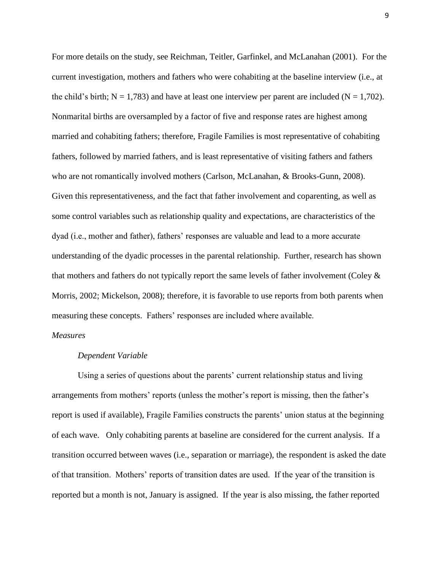For more details on the study, see Reichman, Teitler, Garfinkel, and McLanahan (2001). For the current investigation, mothers and fathers who were cohabiting at the baseline interview (i.e., at the child's birth;  $N = 1,783$ ) and have at least one interview per parent are included ( $N = 1,702$ ). Nonmarital births are oversampled by a factor of five and response rates are highest among married and cohabiting fathers; therefore, Fragile Families is most representative of cohabiting fathers, followed by married fathers, and is least representative of visiting fathers and fathers who are not romantically involved mothers (Carlson, McLanahan, & Brooks-Gunn, 2008). Given this representativeness, and the fact that father involvement and coparenting, as well as some control variables such as relationship quality and expectations, are characteristics of the dyad (i.e., mother and father), fathers" responses are valuable and lead to a more accurate understanding of the dyadic processes in the parental relationship. Further, research has shown that mothers and fathers do not typically report the same levels of father involvement (Coley & Morris, 2002; Mickelson, 2008); therefore, it is favorable to use reports from both parents when measuring these concepts. Fathers' responses are included where available.

## *Measures*

## *Dependent Variable*

Using a series of questions about the parents" current relationship status and living arrangements from mothers' reports (unless the mother's report is missing, then the father's report is used if available), Fragile Families constructs the parents" union status at the beginning of each wave. Only cohabiting parents at baseline are considered for the current analysis. If a transition occurred between waves (i.e., separation or marriage), the respondent is asked the date of that transition. Mothers" reports of transition dates are used. If the year of the transition is reported but a month is not, January is assigned. If the year is also missing, the father reported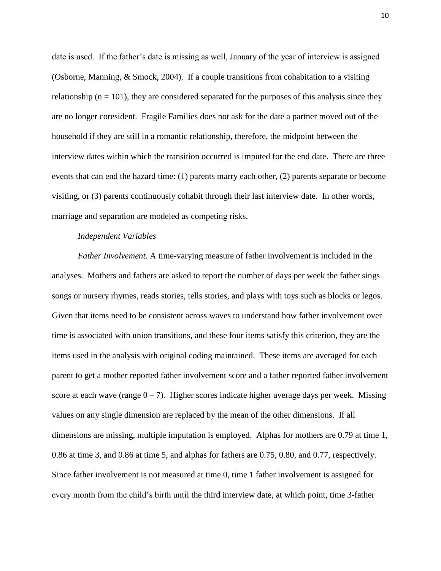date is used. If the father"s date is missing as well, January of the year of interview is assigned (Osborne, Manning, & Smock, 2004). If a couple transitions from cohabitation to a visiting relationship ( $n = 101$ ), they are considered separated for the purposes of this analysis since they are no longer coresident. Fragile Families does not ask for the date a partner moved out of the household if they are still in a romantic relationship, therefore, the midpoint between the interview dates within which the transition occurred is imputed for the end date. There are three events that can end the hazard time: (1) parents marry each other, (2) parents separate or become visiting, or (3) parents continuously cohabit through their last interview date. In other words, marriage and separation are modeled as competing risks.

#### *Independent Variables*

*Father Involvement.* A time-varying measure of father involvement is included in the analyses. Mothers and fathers are asked to report the number of days per week the father sings songs or nursery rhymes, reads stories, tells stories, and plays with toys such as blocks or legos. Given that items need to be consistent across waves to understand how father involvement over time is associated with union transitions, and these four items satisfy this criterion, they are the items used in the analysis with original coding maintained. These items are averaged for each parent to get a mother reported father involvement score and a father reported father involvement score at each wave (range  $0 - 7$ ). Higher scores indicate higher average days per week. Missing values on any single dimension are replaced by the mean of the other dimensions. If all dimensions are missing, multiple imputation is employed. Alphas for mothers are 0.79 at time 1, 0.86 at time 3, and 0.86 at time 5, and alphas for fathers are 0.75, 0.80, and 0.77, respectively. Since father involvement is not measured at time 0, time 1 father involvement is assigned for every month from the child"s birth until the third interview date, at which point, time 3-father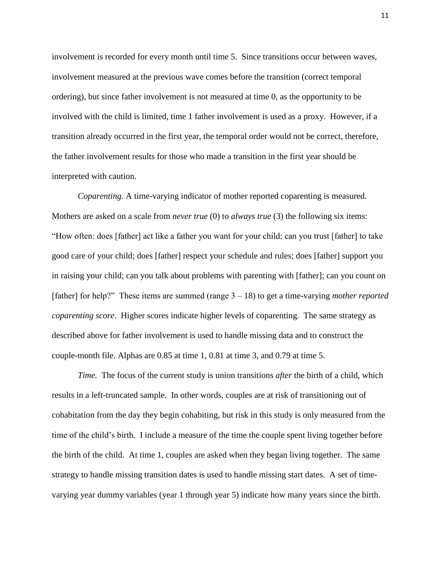involvement is recorded for every month until time 5. Since transitions occur between waves, involvement measured at the previous wave comes before the transition (correct temporal ordering), but since father involvement is not measured at time 0, as the opportunity to be involved with the child is limited, time 1 father involvement is used as a proxy. However, if a transition already occurred in the first year, the temporal order would not be correct, therefore, the father involvement results for those who made a transition in the first year should be interpreted with caution.

*Coparenting.* A time-varying indicator of mother reported coparenting is measured. Mothers are asked on a scale from *never true* (0) to *always true* (3) the following six items: "How often: does [father] act like a father you want for your child; can you trust [father] to take good care of your child; does [father] respect your schedule and rules; does [father] support you in raising your child; can you talk about problems with parenting with [father]; can you count on [father] for help?" These items are summed (range 3 – 18) to get a time-varying *mother reported coparenting score*. Higher scores indicate higher levels of coparenting. The same strategy as described above for father involvement is used to handle missing data and to construct the couple-month file. Alphas are 0.85 at time 1, 0.81 at time 3, and 0.79 at time 5.

*Time.* The focus of the current study is union transitions *after* the birth of a child, which results in a left-truncated sample. In other words, couples are at risk of transitioning out of cohabitation from the day they begin cohabiting, but risk in this study is only measured from the time of the child"s birth. I include a measure of the time the couple spent living together before the birth of the child. At time 1, couples are asked when they began living together. The same strategy to handle missing transition dates is used to handle missing start dates. A set of timevarying year dummy variables (year 1 through year 5) indicate how many years since the birth.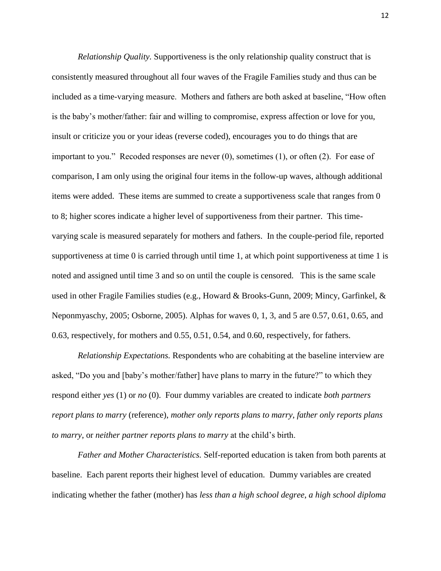*Relationship Quality.* Supportiveness is the only relationship quality construct that is consistently measured throughout all four waves of the Fragile Families study and thus can be included as a time-varying measure. Mothers and fathers are both asked at baseline, "How often is the baby"s mother/father: fair and willing to compromise, express affection or love for you, insult or criticize you or your ideas (reverse coded), encourages you to do things that are important to you." Recoded responses are never (0), sometimes (1), or often (2). For ease of comparison, I am only using the original four items in the follow-up waves, although additional items were added. These items are summed to create a supportiveness scale that ranges from 0 to 8; higher scores indicate a higher level of supportiveness from their partner. This timevarying scale is measured separately for mothers and fathers. In the couple-period file, reported supportiveness at time 0 is carried through until time 1, at which point supportiveness at time 1 is noted and assigned until time 3 and so on until the couple is censored. This is the same scale used in other Fragile Families studies (e.g., Howard & Brooks-Gunn, 2009; Mincy, Garfinkel, & Neponmyaschy, 2005; Osborne, 2005). Alphas for waves 0, 1, 3, and 5 are 0.57, 0.61, 0.65, and 0.63, respectively, for mothers and 0.55, 0.51, 0.54, and 0.60, respectively, for fathers.

*Relationship Expectations.* Respondents who are cohabiting at the baseline interview are asked, "Do you and [baby"s mother/father] have plans to marry in the future?" to which they respond either *yes* (1) or *no* (0). Four dummy variables are created to indicate *both partners report plans to marry* (reference), *mother only reports plans to marry*, *father only reports plans to marry*, or *neither partner reports plans to marry* at the child"s birth.

*Father and Mother Characteristics.* Self-reported education is taken from both parents at baseline. Each parent reports their highest level of education. Dummy variables are created indicating whether the father (mother) has *less than a high school degree*, *a high school diploma*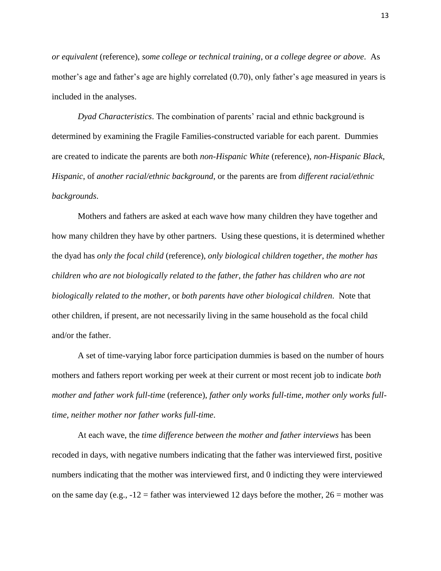*or equivalent* (reference), *some college or technical training*, or *a college degree or above*. As mother's age and father's age are highly correlated (0.70), only father's age measured in years is included in the analyses.

*Dyad Characteristics*. The combination of parents' racial and ethnic background is determined by examining the Fragile Families-constructed variable for each parent. Dummies are created to indicate the parents are both *non-Hispanic White* (reference), *non-Hispanic Black*, *Hispanic*, of *another racial/ethnic background*, or the parents are from *different racial/ethnic backgrounds*.

Mothers and fathers are asked at each wave how many children they have together and how many children they have by other partners. Using these questions, it is determined whether the dyad has *only the focal child* (reference), *only biological children together*, *the mother has children who are not biologically related to the father*, *the father has children who are not biologically related to the mother*, or *both parents have other biological children*. Note that other children, if present, are not necessarily living in the same household as the focal child and/or the father.

A set of time-varying labor force participation dummies is based on the number of hours mothers and fathers report working per week at their current or most recent job to indicate *both mother and father work full-time* (reference), *father only works full-time*, *mother only works fulltime*, *neither mother nor father works full-time*.

At each wave, the *time difference between the mother and father interviews* has been recoded in days, with negative numbers indicating that the father was interviewed first, positive numbers indicating that the mother was interviewed first, and 0 indicting they were interviewed on the same day (e.g.,  $-12$  = father was interviewed 12 days before the mother,  $26$  = mother was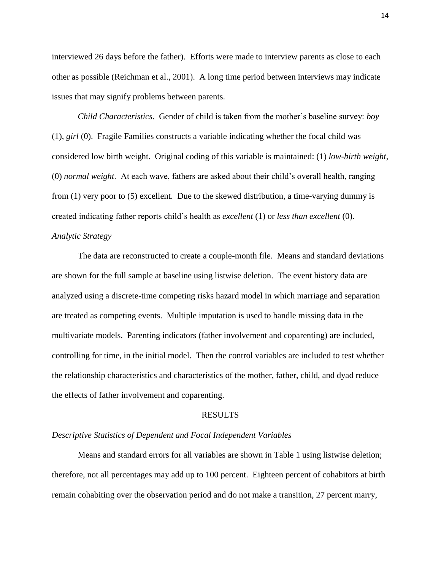interviewed 26 days before the father). Efforts were made to interview parents as close to each other as possible (Reichman et al., 2001). A long time period between interviews may indicate issues that may signify problems between parents.

*Child Characteristics*. Gender of child is taken from the mother"s baseline survey: *boy* (1), *girl* (0). Fragile Families constructs a variable indicating whether the focal child was considered low birth weight. Original coding of this variable is maintained: (1) *low-birth weight*, (0) *normal weight*. At each wave, fathers are asked about their child"s overall health, ranging from (1) very poor to (5) excellent. Due to the skewed distribution, a time-varying dummy is created indicating father reports child"s health as *excellent* (1) or *less than excellent* (0). *Analytic Strategy*

The data are reconstructed to create a couple-month file. Means and standard deviations are shown for the full sample at baseline using listwise deletion. The event history data are analyzed using a discrete-time competing risks hazard model in which marriage and separation are treated as competing events. Multiple imputation is used to handle missing data in the multivariate models. Parenting indicators (father involvement and coparenting) are included, controlling for time, in the initial model. Then the control variables are included to test whether the relationship characteristics and characteristics of the mother, father, child, and dyad reduce the effects of father involvement and coparenting.

#### RESULTS

#### *Descriptive Statistics of Dependent and Focal Independent Variables*

Means and standard errors for all variables are shown in Table 1 using listwise deletion; therefore, not all percentages may add up to 100 percent. Eighteen percent of cohabitors at birth remain cohabiting over the observation period and do not make a transition, 27 percent marry,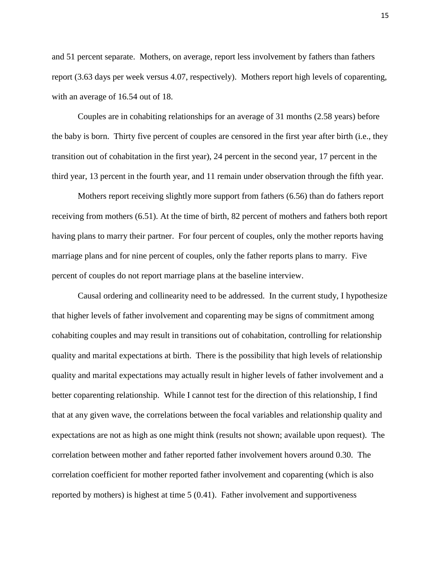and 51 percent separate. Mothers, on average, report less involvement by fathers than fathers report (3.63 days per week versus 4.07, respectively). Mothers report high levels of coparenting, with an average of 16.54 out of 18.

Couples are in cohabiting relationships for an average of 31 months (2.58 years) before the baby is born. Thirty five percent of couples are censored in the first year after birth (i.e., they transition out of cohabitation in the first year), 24 percent in the second year, 17 percent in the third year, 13 percent in the fourth year, and 11 remain under observation through the fifth year.

Mothers report receiving slightly more support from fathers (6.56) than do fathers report receiving from mothers (6.51). At the time of birth, 82 percent of mothers and fathers both report having plans to marry their partner. For four percent of couples, only the mother reports having marriage plans and for nine percent of couples, only the father reports plans to marry. Five percent of couples do not report marriage plans at the baseline interview.

Causal ordering and collinearity need to be addressed. In the current study, I hypothesize that higher levels of father involvement and coparenting may be signs of commitment among cohabiting couples and may result in transitions out of cohabitation, controlling for relationship quality and marital expectations at birth. There is the possibility that high levels of relationship quality and marital expectations may actually result in higher levels of father involvement and a better coparenting relationship. While I cannot test for the direction of this relationship, I find that at any given wave, the correlations between the focal variables and relationship quality and expectations are not as high as one might think (results not shown; available upon request). The correlation between mother and father reported father involvement hovers around 0.30. The correlation coefficient for mother reported father involvement and coparenting (which is also reported by mothers) is highest at time 5 (0.41). Father involvement and supportiveness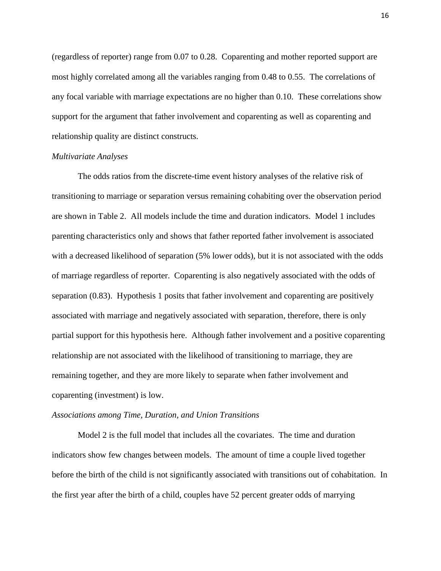(regardless of reporter) range from 0.07 to 0.28. Coparenting and mother reported support are most highly correlated among all the variables ranging from 0.48 to 0.55. The correlations of any focal variable with marriage expectations are no higher than 0.10. These correlations show support for the argument that father involvement and coparenting as well as coparenting and relationship quality are distinct constructs.

#### *Multivariate Analyses*

The odds ratios from the discrete-time event history analyses of the relative risk of transitioning to marriage or separation versus remaining cohabiting over the observation period are shown in Table 2. All models include the time and duration indicators. Model 1 includes parenting characteristics only and shows that father reported father involvement is associated with a decreased likelihood of separation (5% lower odds), but it is not associated with the odds of marriage regardless of reporter. Coparenting is also negatively associated with the odds of separation (0.83). Hypothesis 1 posits that father involvement and coparenting are positively associated with marriage and negatively associated with separation, therefore, there is only partial support for this hypothesis here. Although father involvement and a positive coparenting relationship are not associated with the likelihood of transitioning to marriage, they are remaining together, and they are more likely to separate when father involvement and coparenting (investment) is low.

#### *Associations among Time, Duration, and Union Transitions*

Model 2 is the full model that includes all the covariates. The time and duration indicators show few changes between models. The amount of time a couple lived together before the birth of the child is not significantly associated with transitions out of cohabitation. In the first year after the birth of a child, couples have 52 percent greater odds of marrying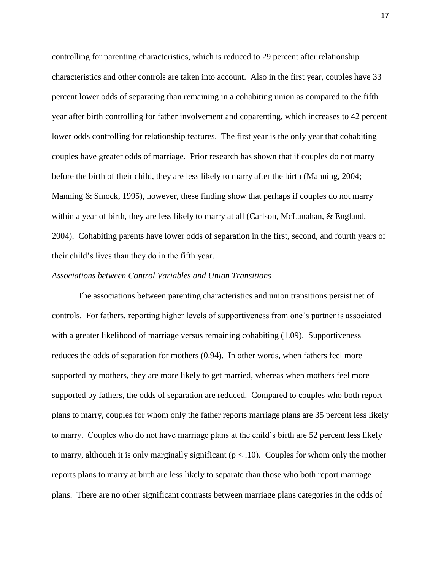controlling for parenting characteristics, which is reduced to 29 percent after relationship characteristics and other controls are taken into account. Also in the first year, couples have 33 percent lower odds of separating than remaining in a cohabiting union as compared to the fifth year after birth controlling for father involvement and coparenting, which increases to 42 percent lower odds controlling for relationship features. The first year is the only year that cohabiting couples have greater odds of marriage. Prior research has shown that if couples do not marry before the birth of their child, they are less likely to marry after the birth (Manning, 2004; Manning & Smock, 1995), however, these finding show that perhaps if couples do not marry within a year of birth, they are less likely to marry at all (Carlson, McLanahan, & England, 2004). Cohabiting parents have lower odds of separation in the first, second, and fourth years of their child"s lives than they do in the fifth year.

## *Associations between Control Variables and Union Transitions*

The associations between parenting characteristics and union transitions persist net of controls. For fathers, reporting higher levels of supportiveness from one"s partner is associated with a greater likelihood of marriage versus remaining cohabiting (1.09). Supportiveness reduces the odds of separation for mothers (0.94). In other words, when fathers feel more supported by mothers, they are more likely to get married, whereas when mothers feel more supported by fathers, the odds of separation are reduced. Compared to couples who both report plans to marry, couples for whom only the father reports marriage plans are 35 percent less likely to marry. Couples who do not have marriage plans at the child"s birth are 52 percent less likely to marry, although it is only marginally significant ( $p < .10$ ). Couples for whom only the mother reports plans to marry at birth are less likely to separate than those who both report marriage plans. There are no other significant contrasts between marriage plans categories in the odds of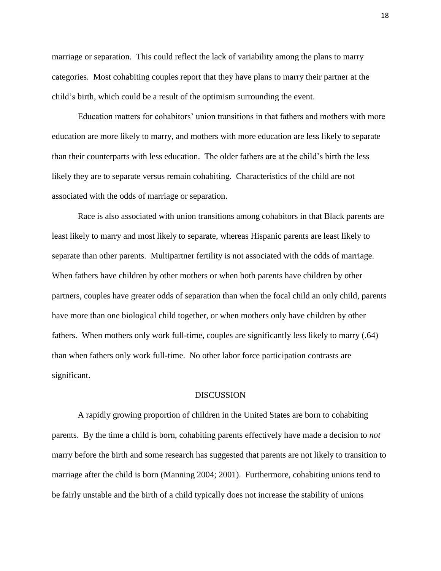marriage or separation. This could reflect the lack of variability among the plans to marry categories. Most cohabiting couples report that they have plans to marry their partner at the child"s birth, which could be a result of the optimism surrounding the event.

Education matters for cohabitors" union transitions in that fathers and mothers with more education are more likely to marry, and mothers with more education are less likely to separate than their counterparts with less education. The older fathers are at the child"s birth the less likely they are to separate versus remain cohabiting. Characteristics of the child are not associated with the odds of marriage or separation.

Race is also associated with union transitions among cohabitors in that Black parents are least likely to marry and most likely to separate, whereas Hispanic parents are least likely to separate than other parents. Multipartner fertility is not associated with the odds of marriage. When fathers have children by other mothers or when both parents have children by other partners, couples have greater odds of separation than when the focal child an only child, parents have more than one biological child together, or when mothers only have children by other fathers. When mothers only work full-time, couples are significantly less likely to marry (.64) than when fathers only work full-time. No other labor force participation contrasts are significant.

#### DISCUSSION

A rapidly growing proportion of children in the United States are born to cohabiting parents. By the time a child is born, cohabiting parents effectively have made a decision to *not* marry before the birth and some research has suggested that parents are not likely to transition to marriage after the child is born (Manning 2004; 2001). Furthermore, cohabiting unions tend to be fairly unstable and the birth of a child typically does not increase the stability of unions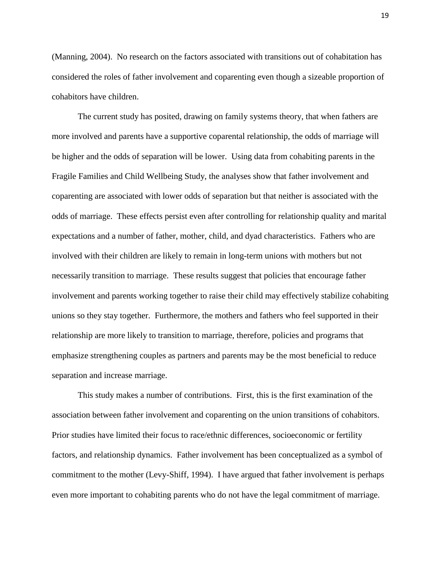(Manning, 2004). No research on the factors associated with transitions out of cohabitation has considered the roles of father involvement and coparenting even though a sizeable proportion of cohabitors have children.

The current study has posited, drawing on family systems theory, that when fathers are more involved and parents have a supportive coparental relationship, the odds of marriage will be higher and the odds of separation will be lower. Using data from cohabiting parents in the Fragile Families and Child Wellbeing Study, the analyses show that father involvement and coparenting are associated with lower odds of separation but that neither is associated with the odds of marriage. These effects persist even after controlling for relationship quality and marital expectations and a number of father, mother, child, and dyad characteristics. Fathers who are involved with their children are likely to remain in long-term unions with mothers but not necessarily transition to marriage. These results suggest that policies that encourage father involvement and parents working together to raise their child may effectively stabilize cohabiting unions so they stay together. Furthermore, the mothers and fathers who feel supported in their relationship are more likely to transition to marriage, therefore, policies and programs that emphasize strengthening couples as partners and parents may be the most beneficial to reduce separation and increase marriage.

This study makes a number of contributions. First, this is the first examination of the association between father involvement and coparenting on the union transitions of cohabitors. Prior studies have limited their focus to race/ethnic differences, socioeconomic or fertility factors, and relationship dynamics. Father involvement has been conceptualized as a symbol of commitment to the mother (Levy-Shiff, 1994). I have argued that father involvement is perhaps even more important to cohabiting parents who do not have the legal commitment of marriage.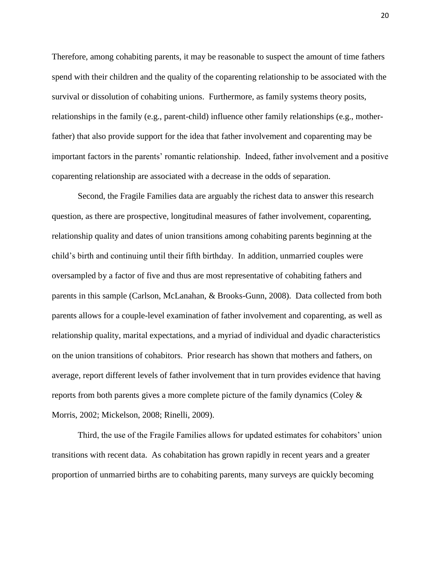Therefore, among cohabiting parents, it may be reasonable to suspect the amount of time fathers spend with their children and the quality of the coparenting relationship to be associated with the survival or dissolution of cohabiting unions. Furthermore, as family systems theory posits, relationships in the family (e.g., parent-child) influence other family relationships (e.g., motherfather) that also provide support for the idea that father involvement and coparenting may be important factors in the parents' romantic relationship. Indeed, father involvement and a positive coparenting relationship are associated with a decrease in the odds of separation.

Second, the Fragile Families data are arguably the richest data to answer this research question, as there are prospective, longitudinal measures of father involvement, coparenting, relationship quality and dates of union transitions among cohabiting parents beginning at the child"s birth and continuing until their fifth birthday. In addition, unmarried couples were oversampled by a factor of five and thus are most representative of cohabiting fathers and parents in this sample (Carlson, McLanahan, & Brooks-Gunn, 2008). Data collected from both parents allows for a couple-level examination of father involvement and coparenting, as well as relationship quality, marital expectations, and a myriad of individual and dyadic characteristics on the union transitions of cohabitors. Prior research has shown that mothers and fathers, on average, report different levels of father involvement that in turn provides evidence that having reports from both parents gives a more complete picture of the family dynamics (Coley & Morris, 2002; Mickelson, 2008; Rinelli, 2009).

Third, the use of the Fragile Families allows for updated estimates for cohabitors' union transitions with recent data. As cohabitation has grown rapidly in recent years and a greater proportion of unmarried births are to cohabiting parents, many surveys are quickly becoming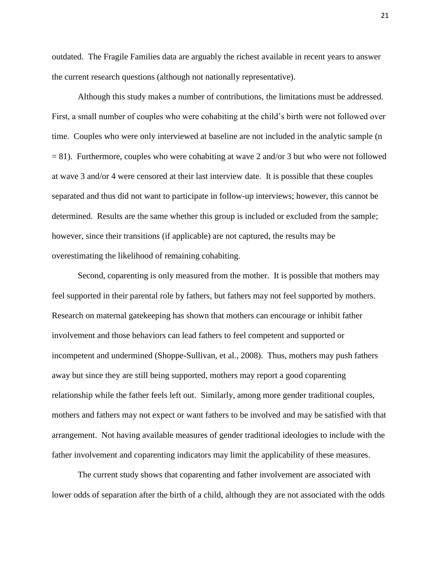outdated. The Fragile Families data are arguably the richest available in recent years to answer the current research questions (although not nationally representative).

Although this study makes a number of contributions, the limitations must be addressed. First, a small number of couples who were cohabiting at the child"s birth were not followed over time. Couples who were only interviewed at baseline are not included in the analytic sample (n  $= 81$ ). Furthermore, couples who were cohabiting at wave 2 and/or 3 but who were not followed at wave 3 and/or 4 were censored at their last interview date. It is possible that these couples separated and thus did not want to participate in follow-up interviews; however, this cannot be determined. Results are the same whether this group is included or excluded from the sample; however, since their transitions (if applicable) are not captured, the results may be overestimating the likelihood of remaining cohabiting.

Second, coparenting is only measured from the mother. It is possible that mothers may feel supported in their parental role by fathers, but fathers may not feel supported by mothers. Research on maternal gatekeeping has shown that mothers can encourage or inhibit father involvement and those behaviors can lead fathers to feel competent and supported or incompetent and undermined (Shoppe-Sullivan, et al., 2008). Thus, mothers may push fathers away but since they are still being supported, mothers may report a good coparenting relationship while the father feels left out. Similarly, among more gender traditional couples, mothers and fathers may not expect or want fathers to be involved and may be satisfied with that arrangement. Not having available measures of gender traditional ideologies to include with the father involvement and coparenting indicators may limit the applicability of these measures.

The current study shows that coparenting and father involvement are associated with lower odds of separation after the birth of a child, although they are not associated with the odds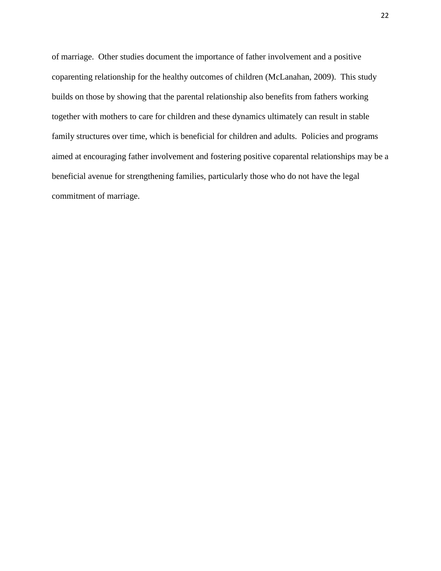of marriage. Other studies document the importance of father involvement and a positive coparenting relationship for the healthy outcomes of children (McLanahan, 2009). This study builds on those by showing that the parental relationship also benefits from fathers working together with mothers to care for children and these dynamics ultimately can result in stable family structures over time, which is beneficial for children and adults. Policies and programs aimed at encouraging father involvement and fostering positive coparental relationships may be a beneficial avenue for strengthening families, particularly those who do not have the legal commitment of marriage.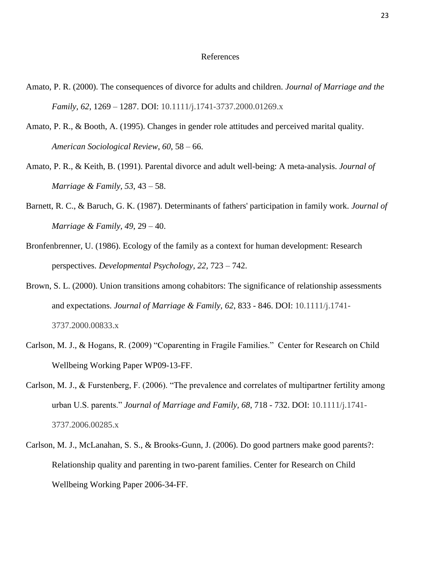#### References

- Amato, P. R. (2000). The consequences of divorce for adults and children. *Journal of Marriage and the Family, 62*, 1269 – 1287. DOI: 10.1111/j.1741-3737.2000.01269.x
- Amato, P. R., & Booth, A. (1995). Changes in gender role attitudes and perceived marital quality. *American Sociological Review*, *60*, 58 – 66.
- Amato, P. R., & Keith, B. (1991). Parental divorce and adult well-being: A meta-analysis. *Journal of Marriage & Family, 53*, 43 – 58.
- Barnett, R. C., & Baruch, G. K. (1987). Determinants of fathers' participation in family work. *Journal of Marriage & Family, 49*, 29 – 40.
- Bronfenbrenner, U. (1986). Ecology of the family as a context for human development: Research perspectives. *Developmental Psychology, 22,* 723 – 742.
- Brown, S. L. (2000). Union transitions among cohabitors: The significance of relationship assessments and expectations. *Journal of Marriage & Family, 62*, 833 - 846. DOI: 10.1111/j.1741- 3737.2000.00833.x
- Carlson, M. J., & Hogans, R. (2009) "Coparenting in Fragile Families." Center for Research on Child Wellbeing Working Paper WP09-13-FF.
- Carlson, M. J., & Furstenberg, F. (2006). "The prevalence and correlates of multipartner fertility among urban U.S. parents." *Journal of Marriage and Family, 68*, 718 - 732. DOI: 10.1111/j.1741- 3737.2006.00285.x
- Carlson, M. J., McLanahan, S. S., & Brooks-Gunn, J. (2006). Do good partners make good parents?: Relationship quality and parenting in two-parent families. Center for Research on Child Wellbeing Working Paper 2006-34-FF.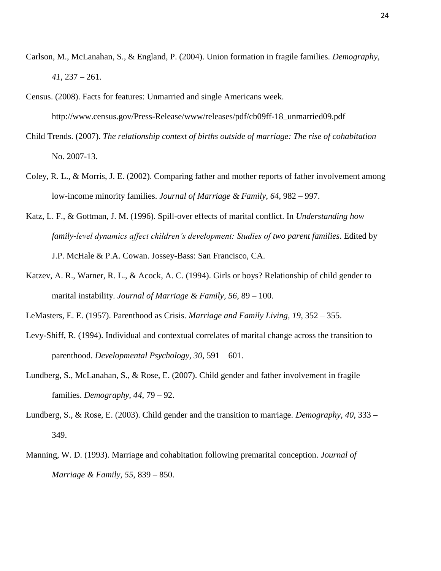- Carlson, M., McLanahan, S., & England, P. (2004). Union formation in fragile families. *Demography, 41*, 237 – 261.
- Census. (2008). Facts for features: Unmarried and single Americans week.

http://www.census.gov/Press-Release/www/releases/pdf/cb09ff-18\_unmarried09.pdf

- Child Trends. (2007). *The relationship context of births outside of marriage: The rise of cohabitation* No. 2007-13.
- Coley, R. L., & Morris, J. E. (2002). Comparing father and mother reports of father involvement among low-income minority families. *Journal of Marriage & Family, 64*, 982 – 997.
- Katz, L. F., & Gottman, J. M. (1996). Spill-over effects of marital conflict. In *Understanding how family-level dynamics affect children's development: Studies of two parent families*. Edited by J.P. McHale & P.A. Cowan. Jossey-Bass: San Francisco, CA.
- Katzev, A. R., Warner, R. L., & Acock, A. C. (1994). Girls or boys? Relationship of child gender to marital instability. *Journal of Marriage & Family, 56*, 89 – 100.
- LeMasters, E. E. (1957). Parenthood as Crisis. *Marriage and Family Living, 19*, 352 355.
- Levy-Shiff, R. (1994). Individual and contextual correlates of marital change across the transition to parenthood. *Developmental Psychology, 30*, 591 – 601.
- Lundberg, S., McLanahan, S., & Rose, E. (2007). Child gender and father involvement in fragile families. *Demography, 44*, 79 – 92.
- Lundberg, S., & Rose, E. (2003). Child gender and the transition to marriage. *Demography, 40*, 333 349.
- Manning, W. D. (1993). Marriage and cohabitation following premarital conception. *Journal of Marriage & Family, 55*, 839 – 850.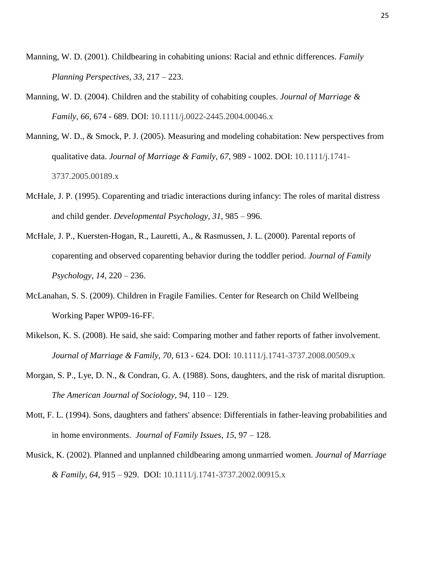- Manning, W. D. (2001). Childbearing in cohabiting unions: Racial and ethnic differences. *Family Planning Perspectives, 33*, 217 – 223.
- Manning, W. D. (2004). Children and the stability of cohabiting couples. *Journal of Marriage & Family, 66*, 674 - 689. DOI: 10.1111/j.0022-2445.2004.00046.x
- Manning, W. D., & Smock, P. J. (2005). Measuring and modeling cohabitation: New perspectives from qualitative data. *Journal of Marriage & Family, 67*, 989 - 1002. DOI: 10.1111/j.1741- 3737.2005.00189.x
- McHale, J. P. (1995). Coparenting and triadic interactions during infancy: The roles of marital distress and child gender. *Developmental Psychology, 31,* 985 – 996.
- McHale, J. P., Kuersten-Hogan, R., Lauretti, A., & Rasmussen, J. L. (2000). Parental reports of coparenting and observed coparenting behavior during the toddler period. *Journal of Family Psychology, 14*, 220 – 236.
- McLanahan, S. S. (2009). Children in Fragile Families. Center for Research on Child Wellbeing Working Paper WP09-16-FF.
- Mikelson, K. S. (2008). He said, she said: Comparing mother and father reports of father involvement. *Journal of Marriage & Family, 70*, 613 - 624. DOI: 10.1111/j.1741-3737.2008.00509.x
- Morgan, S. P., Lye, D. N., & Condran, G. A. (1988). Sons, daughters, and the risk of marital disruption. *The American Journal of Sociology, 94*, 110 – 129.
- Mott, F. L. (1994). Sons, daughters and fathers' absence: Differentials in father-leaving probabilities and in home environments. *Journal of Family Issues, 15*, 97 – 128.
- Musick, K. (2002). Planned and unplanned childbearing among unmarried women. *Journal of Marriage & Family, 64*, 915 – 929. DOI: 10.1111/j.1741-3737.2002.00915.x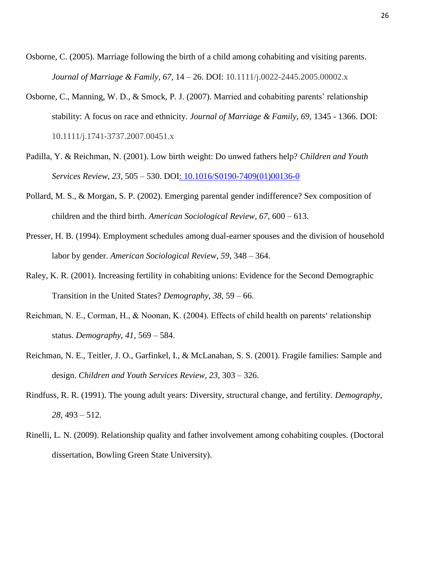- Osborne, C. (2005). Marriage following the birth of a child among cohabiting and visiting parents. *Journal of Marriage & Family, 67*, 14 – 26. DOI: 10.1111/j.0022-2445.2005.00002.x
- Osborne, C., Manning, W. D., & Smock, P. J. (2007). Married and cohabiting parents" relationship stability: A focus on race and ethnicity. *Journal of Marriage & Family, 69*, 1345 - 1366. DOI: 10.1111/j.1741-3737.2007.00451.x
- Padilla, Y. & Reichman, N. (2001). Low birth weight: Do unwed fathers help? *Children and Youth Services Review*, *23,* 505 – 530. DOI: 10.1016/S0190-7409(01)00136-0
- Pollard, M. S., & Morgan, S. P. (2002). Emerging parental gender indifference? Sex composition of children and the third birth. *American Sociological Review, 67*, 600 – 613.
- Presser, H. B. (1994). Employment schedules among dual-earner spouses and the division of household labor by gender. *American Sociological Review, 59*, 348 – 364.
- Raley, K. R. (2001). Increasing fertility in cohabiting unions: Evidence for the Second Demographic Transition in the United States? *Demography*, *38*, 59 – 66.
- Reichman, N. E., Corman, H., & Noonan, K. (2004). Effects of child health on parents" relationship status. *Demography*, *41,* 569 – 584.
- Reichman, N. E., Teitler, J. O., Garfinkel, I., & McLanahan, S. S. (2001). Fragile families: Sample and design. *Children and Youth Services Review, 23*, 303 – 326.
- Rindfuss, R. R. (1991). The young adult years: Diversity, structural change, and fertility. *Demography, 28*, 493 – 512.
- Rinelli, L. N. (2009). Relationship quality and father involvement among cohabiting couples. (Doctoral dissertation, Bowling Green State University).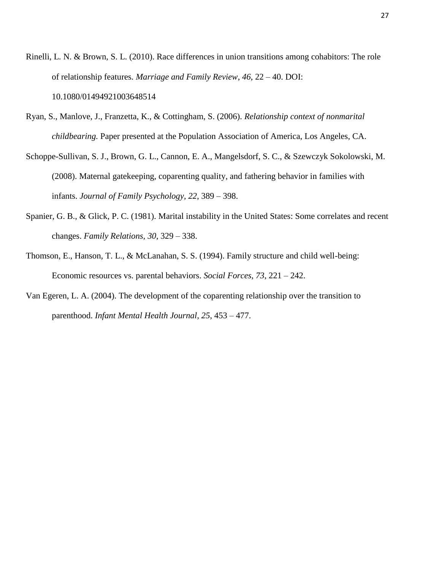Rinelli, L. N. & Brown, S. L. (2010). Race differences in union transitions among cohabitors: The role of relationship features. *Marriage and Family Review*, *46*, 22 – 40. DOI: 10.1080/01494921003648514

Ryan, S., Manlove, J., Franzetta, K., & Cottingham, S. (2006). *Relationship context of nonmarital childbearing.* Paper presented at the Population Association of America, Los Angeles, CA.

Schoppe-Sullivan, S. J., Brown, G. L., Cannon, E. A., Mangelsdorf, S. C., & Szewczyk Sokolowski, M. (2008). Maternal gatekeeping, coparenting quality, and fathering behavior in families with infants. *Journal of Family Psychology, 22*, 389 – 398.

- Spanier, G. B., & Glick, P. C. (1981). Marital instability in the United States: Some correlates and recent changes. *Family Relations, 30*, 329 – 338.
- Thomson, E., Hanson, T. L., & McLanahan, S. S. (1994). Family structure and child well-being: Economic resources vs. parental behaviors. *Social Forces, 73*, 221 – 242.
- Van Egeren, L. A. (2004). The development of the coparenting relationship over the transition to parenthood. *Infant Mental Health Journal, 25*, 453 – 477.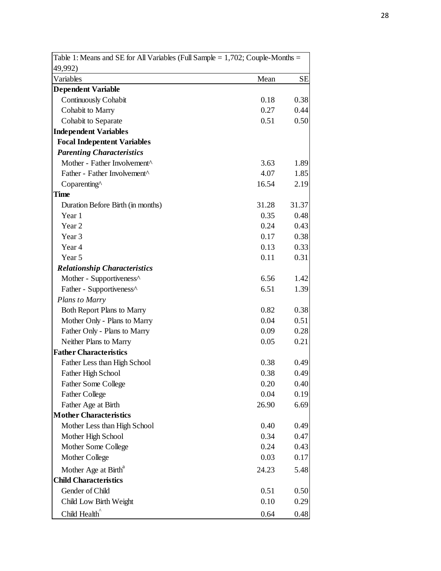| 49,992)                                  |       |           |
|------------------------------------------|-------|-----------|
| Variables                                | Mean  | <b>SE</b> |
| <b>Dependent Variable</b>                |       |           |
| Continuously Cohabit                     | 0.18  | 0.38      |
| Cohabit to Marry                         | 0.27  | 0.44      |
| Cohabit to Separate                      | 0.51  | 0.50      |
| <b>Independent Variables</b>             |       |           |
| <b>Focal Indepentent Variables</b>       |       |           |
| <b>Parenting Characteristics</b>         |       |           |
| Mother - Father Involvement <sup>^</sup> | 3.63  | 1.89      |
| Father - Father Involvement <sup>^</sup> | 4.07  | 1.85      |
| Coparenting^                             | 16.54 | 2.19      |
| <b>Time</b>                              |       |           |
| Duration Before Birth (in months)        | 31.28 | 31.37     |
| Year 1                                   | 0.35  | 0.48      |
| Year 2                                   | 0.24  | 0.43      |
| Year <sub>3</sub>                        | 0.17  | 0.38      |
| Year 4                                   | 0.13  | 0.33      |
| Year 5                                   | 0.11  | 0.31      |
| <b>Relationship Characteristics</b>      |       |           |
| Mother - Supportiveness^                 | 6.56  | 1.42      |
| Father - Supportiveness <sup>^</sup>     | 6.51  | 1.39      |
| <b>Plans to Marry</b>                    |       |           |
| <b>Both Report Plans to Marry</b>        | 0.82  | 0.38      |
| Mother Only - Plans to Marry             | 0.04  | 0.51      |
| Father Only - Plans to Marry             | 0.09  | 0.28      |
| Neither Plans to Marry                   | 0.05  | 0.21      |
| <b>Father Characteristics</b>            |       |           |
| Father Less than High School             | 0.38  | 0.49      |
| <b>Father High School</b>                | 0.38  | 0.49      |
| <b>Father Some College</b>               | 0.20  | 0.40      |
| <b>Father College</b>                    | 0.04  | 0.19      |
| Father Age at Birth                      | 26.90 | 6.69      |
| <b>Mother Characteristics</b>            |       |           |
| Mother Less than High School             | 0.40  | 0.49      |
| Mother High School                       | 0.34  | 0.47      |
| Mother Some College                      | 0.24  | 0.43      |
| Mother College                           | 0.03  | 0.17      |
| Mother Age at Birth <sup>a</sup>         | 24.23 | 5.48      |
| <b>Child Characteristics</b>             |       |           |
| Gender of Child                          | 0.51  | 0.50      |
| Child Low Birth Weight                   | 0.10  | 0.29      |
| Child Health <sup>^</sup>                | 0.64  | 0.48      |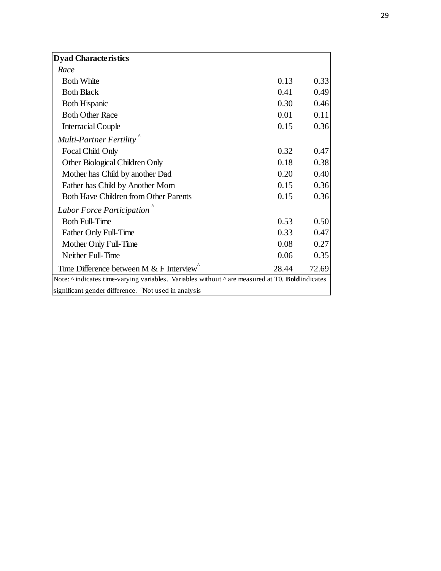| <b>Dyad Characteristics</b>                                                                                  |       |       |
|--------------------------------------------------------------------------------------------------------------|-------|-------|
| Race                                                                                                         |       |       |
| <b>Both White</b>                                                                                            | 0.13  | 0.33  |
| <b>Both Black</b>                                                                                            | 0.41  | 0.49  |
| <b>Both Hispanic</b>                                                                                         | 0.30  | 0.46  |
| <b>Both Other Race</b>                                                                                       | 0.01  | 0.11  |
| <b>Interracial Couple</b>                                                                                    | 0.15  | 0.36  |
| Multi-Partner Fertility <sup>"</sup>                                                                         |       |       |
| Focal Child Only                                                                                             | 0.32  | 0.47  |
| Other Biological Children Only                                                                               | 0.18  | 0.38  |
| Mother has Child by another Dad                                                                              | 0.20  | 0.40  |
| Father has Child by Another Mom                                                                              | 0.15  | 0.36  |
| Both Have Children from Other Parents                                                                        | 0.15  | 0.36  |
| Labor Force Participation                                                                                    |       |       |
| <b>Both Full-Time</b>                                                                                        | 0.53  | 0.50  |
| Father Only Full-Time                                                                                        | 0.33  | 0.47  |
| Mother Only Full-Time                                                                                        | 0.08  | 0.27  |
| Neither Full-Time                                                                                            | 0.06  | 0.35  |
| Time Difference between M $&$ F Interview                                                                    | 28.44 | 72.69 |
| Note: $\land$ indicates time-varying variables. Variables without $\land$ are measured at T0. Bold indicates |       |       |
| significant gender difference. <sup>a</sup> Not used in analysis                                             |       |       |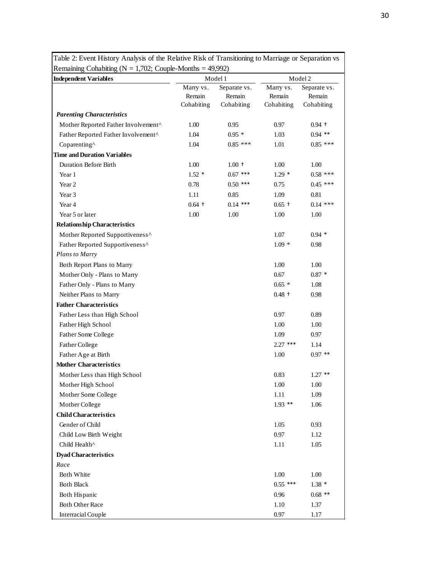| Remaining Cohabiting ( $N = 1,702$ ; Couple-Months = 49,992)                              |                     |                         |                                    | Model 2                 |  |
|-------------------------------------------------------------------------------------------|---------------------|-------------------------|------------------------------------|-------------------------|--|
| <b>Independent Variables</b>                                                              |                     | Model 1<br>Separate vs. |                                    |                         |  |
|                                                                                           | Marry vs.<br>Remain | Remain                  | Marry vs.<br>Remain                | Separate vs.<br>Remain  |  |
|                                                                                           | Cohabiting          | Cohabiting              | Cohabiting                         | Cohabiting              |  |
| <b>Parenting Characteristics</b>                                                          |                     |                         |                                    |                         |  |
| Mother Reported Father Involvement^                                                       | 1.00                | 0.95                    | 0.97                               | $0.94$ +                |  |
| Father Reported Father Involvement^                                                       | 1.04                | $0.95*$                 | 1.03                               | $0.94$ **               |  |
| Coparenting^                                                                              | 1.04                | $0.85$ ***              | 1.01                               | $0.85$ ***              |  |
| <b>Time and Duration Variables</b>                                                        |                     |                         |                                    |                         |  |
| <b>Duration Before Birth</b>                                                              | 1.00                | $1.00 +$                | 1.00                               | 1.00                    |  |
| Year 1                                                                                    | $1.52*$             | $0.67$ ***              | $1.29*$                            | $0.58$ ***              |  |
| Year 2                                                                                    | 0.78                | $0.50$ ***              | 0.75                               | $0.45$ ***              |  |
| Year 3                                                                                    | 1.11                | 0.85                    | 1.09                               | 0.81                    |  |
| Year 4                                                                                    | $0.64$ +            | $0.14$ ***              | $0.65$ +                           | $0.14$ ***              |  |
| Year 5 or later                                                                           | 1.00                | 1.00                    | 1.00                               | 1.00                    |  |
| <b>Relationship Characteristics</b>                                                       |                     |                         |                                    |                         |  |
| Mother Reported Supportiveness^                                                           |                     |                         | 1.07                               | $0.94*$                 |  |
| Father Reported Supportiveness^                                                           |                     |                         | $1.09*$                            | 0.98                    |  |
| <b>Plans to Marry</b>                                                                     |                     |                         |                                    |                         |  |
| Both Report Plans to Marry                                                                |                     |                         | 1.00                               | 1.00                    |  |
| Mother Only - Plans to Marry                                                              |                     |                         | 0.67                               | $0.87*$                 |  |
| Father Only - Plans to Marry                                                              |                     |                         | $0.65*$                            | 1.08                    |  |
| Neither Plans to Marry                                                                    |                     |                         | $0.48$ +                           | 0.98                    |  |
| <b>Father Characteristics</b>                                                             |                     |                         |                                    |                         |  |
| Father Less than High School                                                              |                     |                         | 0.97                               | 0.89                    |  |
| Father High School                                                                        |                     |                         | 1.00                               | 1.00                    |  |
| Father Some College                                                                       |                     |                         | 1.09                               | 0.97                    |  |
| <b>Father College</b>                                                                     |                     |                         | $2.27$ ***                         | 1.14                    |  |
| Father Age at Birth                                                                       |                     |                         | 1.00                               | $0.97**$                |  |
| <b>Mother Characteristics</b>                                                             |                     |                         |                                    |                         |  |
| Mother Less than High School                                                              |                     |                         | 0.83                               | $1.27$ **               |  |
| Mother High School                                                                        |                     |                         | $1.00\,$                           | 1.00                    |  |
| Mother Some College                                                                       |                     |                         | 1.11                               | 1.09                    |  |
| Mother College                                                                            |                     |                         | $1.93$ **                          | 1.06                    |  |
| <b>Child Characteristics</b>                                                              |                     |                         |                                    |                         |  |
| Gender of Child                                                                           |                     |                         | 1.05                               | 0.93                    |  |
| Child Low Birth Weight                                                                    |                     |                         | 0.97                               | 1.12                    |  |
| Child Health^                                                                             |                     |                         | 1.11                               | 1.05                    |  |
| <b>Dyad Characteristics</b>                                                               |                     |                         |                                    |                         |  |
| Race                                                                                      |                     |                         |                                    |                         |  |
| <b>Both White</b>                                                                         |                     |                         |                                    |                         |  |
|                                                                                           |                     |                         | 1.00                               | 1.00                    |  |
|                                                                                           |                     |                         |                                    |                         |  |
|                                                                                           |                     |                         |                                    | $0.68$ **               |  |
|                                                                                           |                     |                         |                                    |                         |  |
| <b>Both Black</b><br>Both Hispanic<br><b>Both Other Race</b><br><b>Interracial Couple</b> |                     |                         | $0.55$ ***<br>0.96<br>1.10<br>0.97 | $1.38*$<br>1.37<br>1.17 |  |

Table 2: Event History Analysis of the Relative Risk of Transitioning to Marriage or Separation vs